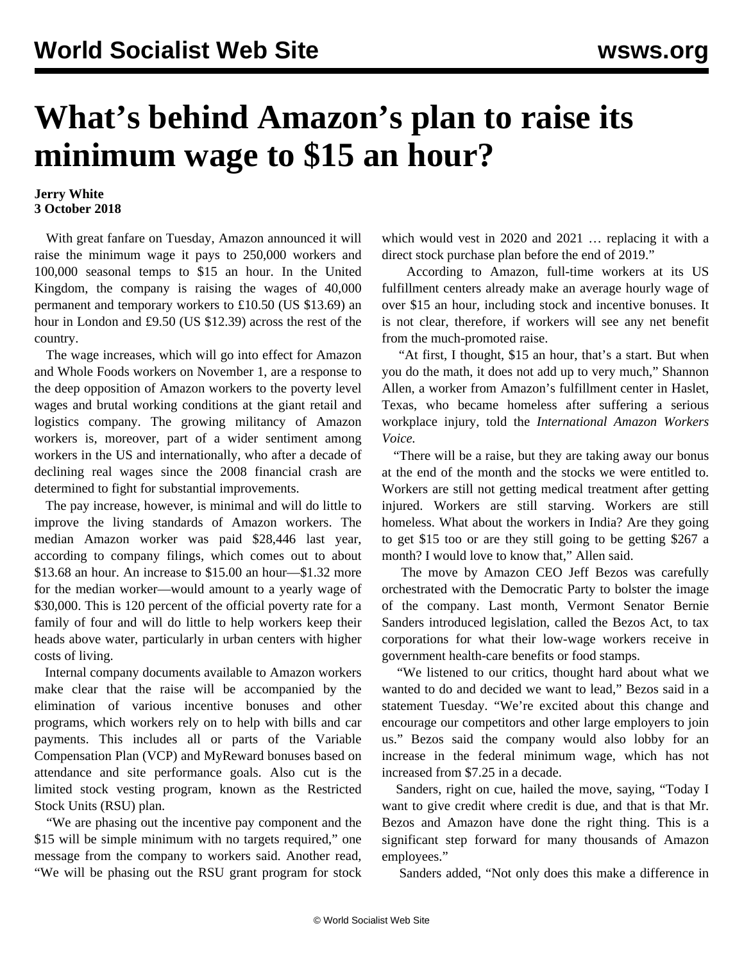## **What's behind Amazon's plan to raise its minimum wage to \$15 an hour?**

## **Jerry White 3 October 2018**

 With great fanfare on Tuesday, Amazon announced it will raise the minimum wage it pays to 250,000 workers and 100,000 seasonal temps to \$15 an hour. In the United Kingdom, the company is raising the wages of 40,000 permanent and temporary workers to £10.50 (US \$13.69) an hour in London and £9.50 (US \$12.39) across the rest of the country.

 The wage increases, which will go into effect for Amazon and Whole Foods workers on November 1, are a response to the deep opposition of Amazon workers to the poverty level wages and brutal working conditions at the giant retail and logistics company. The growing militancy of Amazon workers is, moreover, part of a wider sentiment among workers in the US and internationally, who after a decade of declining real wages since the 2008 financial crash are determined to fight for substantial improvements.

 The pay increase, however, is minimal and will do little to improve the living standards of Amazon workers. The median Amazon worker was paid \$28,446 last year, according to company filings, which comes out to about \$13.68 an hour. An increase to \$15.00 an hour—\$1.32 more for the median worker—would amount to a yearly wage of \$30,000. This is 120 percent of the official poverty rate for a family of four and will do little to help workers keep their heads above water, particularly in urban centers with higher costs of living.

 Internal company documents available to Amazon workers make clear that the raise will be accompanied by the elimination of various incentive bonuses and other programs, which workers rely on to help with bills and car payments. This includes all or parts of the Variable Compensation Plan (VCP) and MyReward bonuses based on attendance and site performance goals. Also cut is the limited stock vesting program, known as the Restricted Stock Units (RSU) plan.

 "We are phasing out the incentive pay component and the \$15 will be simple minimum with no targets required," one message from the company to workers said. Another read, "We will be phasing out the RSU grant program for stock

which would vest in 2020 and 2021 … replacing it with a direct stock purchase plan before the end of 2019."

 According to Amazon, full-time workers at its US fulfillment centers already make an average hourly wage of over \$15 an hour, including stock and incentive bonuses. It is not clear, therefore, if workers will see any net benefit from the much-promoted raise.

 "At first, I thought, \$15 an hour, that's a start. But when you do the math, it does not add up to very much," Shannon Allen, a worker from Amazon's fulfillment center in Haslet, Texas, who became homeless after suffering a serious workplace injury, told the *International Amazon Workers Voice.*

 "There will be a raise, but they are taking away our bonus at the end of the month and the stocks we were entitled to. Workers are still not getting medical treatment after getting injured. Workers are still starving. Workers are still homeless. What about the workers in India? Are they going to get \$15 too or are they still going to be getting \$267 a month? I would love to know that," Allen said.

 The move by Amazon CEO Jeff Bezos was carefully orchestrated with the Democratic Party to bolster the image of the company. Last month, Vermont Senator Bernie Sanders introduced legislation, called the Bezos Act, to tax corporations for what their low-wage workers receive in government health-care benefits or food stamps.

 "We listened to our critics, thought hard about what we wanted to do and decided we want to lead," Bezos said in a statement Tuesday. "We're excited about this change and encourage our competitors and other large employers to join us." Bezos said the company would also lobby for an increase in the federal minimum wage, which has not increased from \$7.25 in a decade.

 Sanders, right on cue, hailed the move, saying, "Today I want to give credit where credit is due, and that is that Mr. Bezos and Amazon have done the right thing. This is a significant step forward for many thousands of Amazon employees."

Sanders added, "Not only does this make a difference in